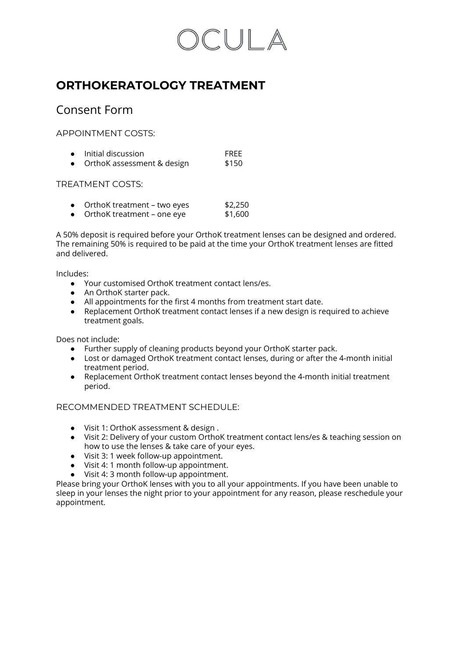# $\parallel$   $\parallel$

## **ORTHOKERATOLOGY TREATMENT**

### Consent Form

APPOINTMENT COSTS:

● Initial discussion<br>● OrthoK assessment & design \$150 • OrthoK assessment & design

### TREATMENT COSTS:

| OrthoK treatment – two eyes | \$2,250             |
|-----------------------------|---------------------|
|                             | $\lambda$ $\lambda$ |

● OrthoK treatment – one eye \$1,600

A 50% deposit is required before your OrthoK treatment lenses can be designed and ordered. The remaining 50% is required to be paid at the time your OrthoK treatment lenses are fitted and delivered.

Includes:

- Your customised OrthoK treatment contact lens/es.
- An OrthoK starter pack.
- All appointments for the first 4 months from treatment start date.
- Replacement OrthoK treatment contact lenses if a new design is required to achieve treatment goals.

Does not include:

- Further supply of cleaning products beyond your OrthoK starter pack.
- Lost or damaged OrthoK treatment contact lenses, during or after the 4-month initial treatment period.
- Replacement OrthoK treatment contact lenses beyond the 4-month initial treatment period.

RECOMMENDED TREATMENT SCHEDULE:

- Visit 1: OrthoK assessment & design .
- Visit 2: Delivery of your custom OrthoK treatment contact lens/es & teaching session on how to use the lenses & take care of your eyes.
- Visit 3: 1 week follow-up appointment.
- Visit 4: 1 month follow-up appointment.
- Visit 4: 3 month follow-up appointment.

Please bring your OrthoK lenses with you to all your appointments. If you have been unable to sleep in your lenses the night prior to your appointment for any reason, please reschedule your appointment.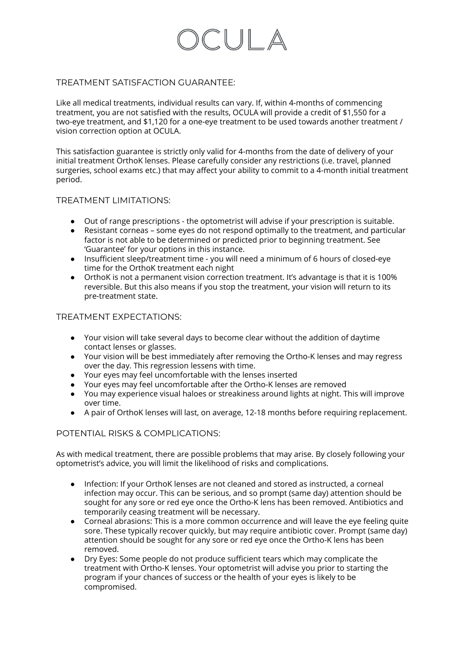# $\parallel$

#### TREATMENT SATISFACTION GUARANTEE:

Like all medical treatments, individual results can vary. If, within 4-months of commencing treatment, you are not satisfied with the results, OCULA will provide a credit of \$1,550 for a two-eye treatment, and \$1,120 for a one-eye treatment to be used towards another treatment / vision correction option at OCULA.

This satisfaction guarantee is strictly only valid for 4-months from the date of delivery of your initial treatment OrthoK lenses. Please carefully consider any restrictions (i.e. travel, planned surgeries, school exams etc.) that may affect your ability to commit to a 4-month initial treatment period.

#### TREATMENT LIMITATIONS:

- Out of range prescriptions the optometrist will advise if your prescription is suitable.
- Resistant corneas some eyes do not respond optimally to the treatment, and particular factor is not able to be determined or predicted prior to beginning treatment. See 'Guarantee' for your options in this instance.
- Insufficient sleep/treatment time you will need a minimum of 6 hours of closed-eye time for the OrthoK treatment each night
- OrthoK is not a permanent vision correction treatment. It's advantage is that it is 100% reversible. But this also means if you stop the treatment, your vision will return to its pre-treatment state.

#### TREATMENT EXPECTATIONS:

- Your vision will take several days to become clear without the addition of daytime contact lenses or glasses.
- Your vision will be best immediately after removing the Ortho-K lenses and may regress over the day. This regression lessens with time.
- Your eyes may feel uncomfortable with the lenses inserted
- Your eyes may feel uncomfortable after the Ortho-K lenses are removed
- You may experience visual haloes or streakiness around lights at night. This will improve over time.
- A pair of OrthoK lenses will last, on average, 12-18 months before requiring replacement.

#### POTENTIAL RISKS & COMPLICATIONS:

As with medical treatment, there are possible problems that may arise. By closely following your optometrist's advice, you will limit the likelihood of risks and complications.

- Infection: If your OrthoK lenses are not cleaned and stored as instructed, a corneal infection may occur. This can be serious, and so prompt (same day) attention should be sought for any sore or red eye once the Ortho-K lens has been removed. Antibiotics and temporarily ceasing treatment will be necessary.
- Corneal abrasions: This is a more common occurrence and will leave the eye feeling quite sore. These typically recover quickly, but may require antibiotic cover. Prompt (same day) attention should be sought for any sore or red eye once the Ortho-K lens has been removed.
- Dry Eyes: Some people do not produce sufficient tears which may complicate the treatment with Ortho-K lenses. Your optometrist will advise you prior to starting the program if your chances of success or the health of your eyes is likely to be compromised.